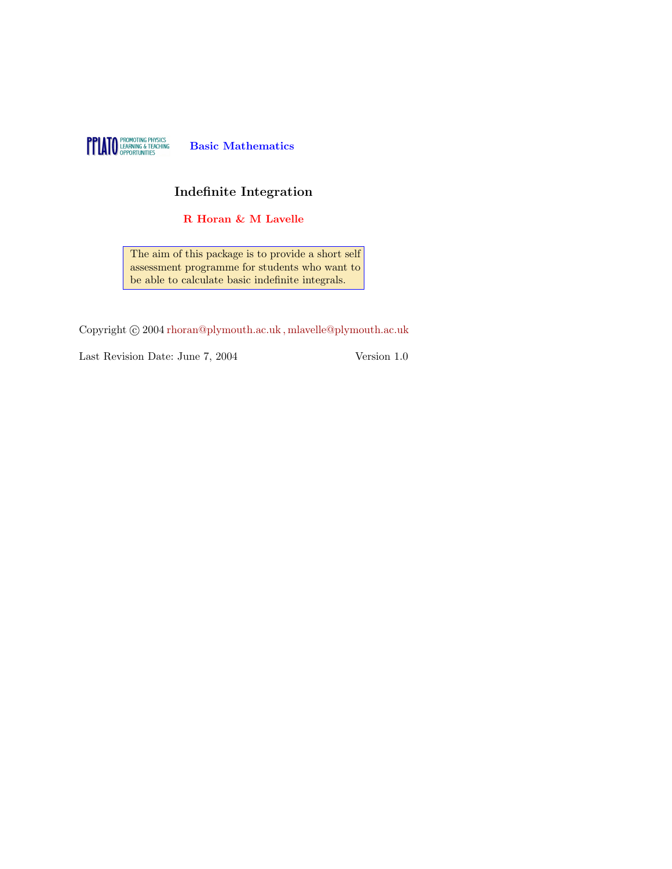

#### Indefinite Integration

R Horan & M Lavelle

The aim of this package is to provide a short self assessment programme for students who want to be able to calculate basic indefinite integrals.

Copyright  $\odot$  2004 rhoran@plymouth.ac.uk, mlavelle@plymouth.ac.uk

Last Revision Date: June 7, 2004 Version 1.0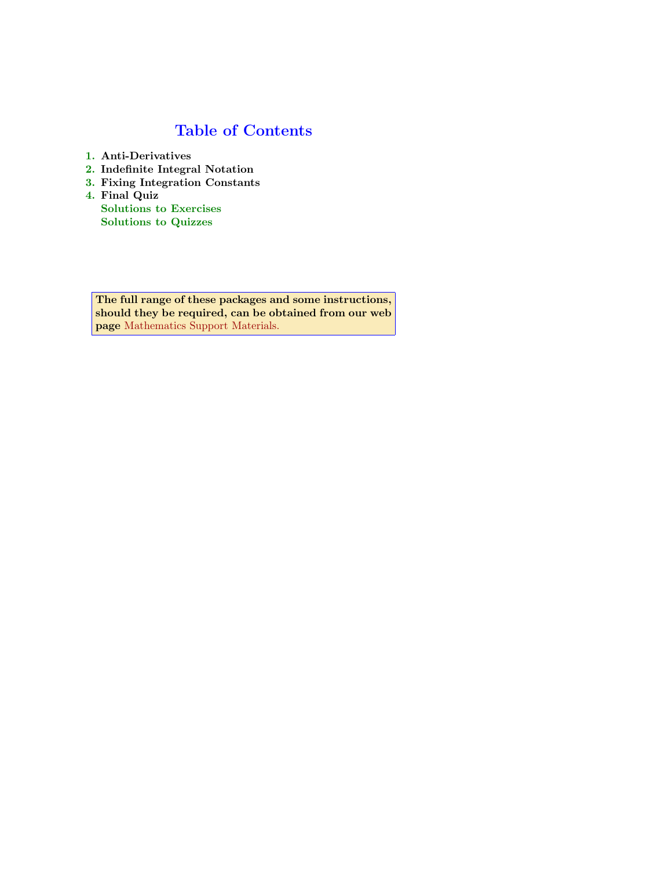# Table of Contents

- 1. Anti-Derivatives
- 2. Indefinite Integral Notation
- 3. Fixing Integration Constants
- 4. Final Quiz

Solutions to Exercises [Solutions to Quizzes](http://www.plymouth.ac.uk/mathaid)

The full range of these packages and some instructions, should they be required, can be obtained from our web page Mathematics Support Materials.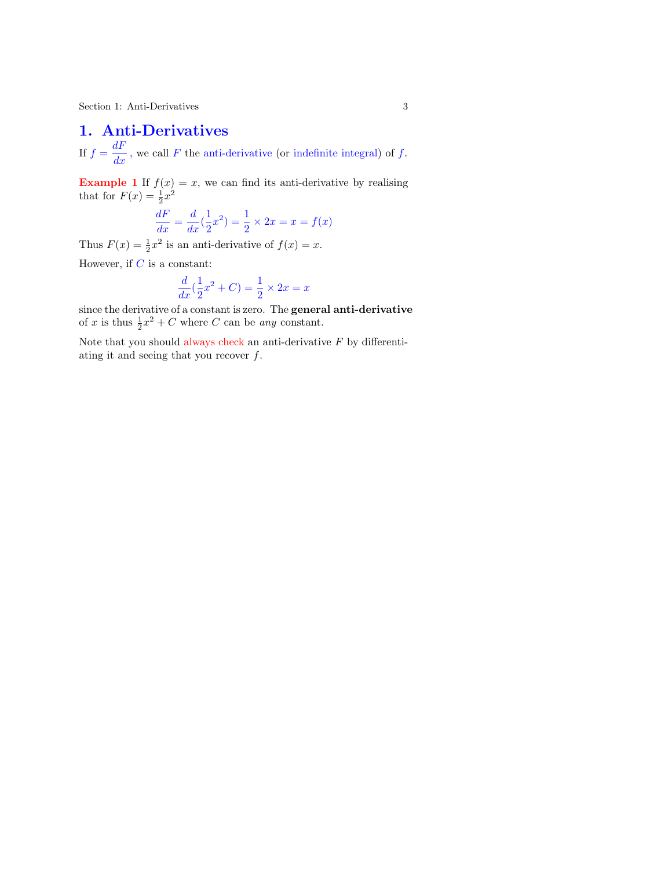#### 1. Anti-Derivatives

If  $f = \frac{dF}{dx}$ , we call F the anti-derivative (or indefinite integral) of f.

**Example 1** If  $f(x) = x$ , we can find its anti-derivative by realising that for  $F(x) = \frac{1}{2}x^2$ 

$$
\frac{dF}{dx} = \frac{d}{dx}(\frac{1}{2}x^2) = \frac{1}{2} \times 2x = x = f(x)
$$

Thus  $F(x) = \frac{1}{2}x^2$  is an anti-derivative of  $f(x) = x$ .

However, if  $C$  is a constant:

$$
\frac{d}{dx}(\frac{1}{2}x^2 + C) = \frac{1}{2} \times 2x = x
$$

since the derivative of a constant is zero. The general anti-derivative of x is thus  $\frac{1}{2}x^2 + C$  where C can be any constant.

Note that you should always check an anti-derivative  $F$  by differentiating it and seeing that you recover f.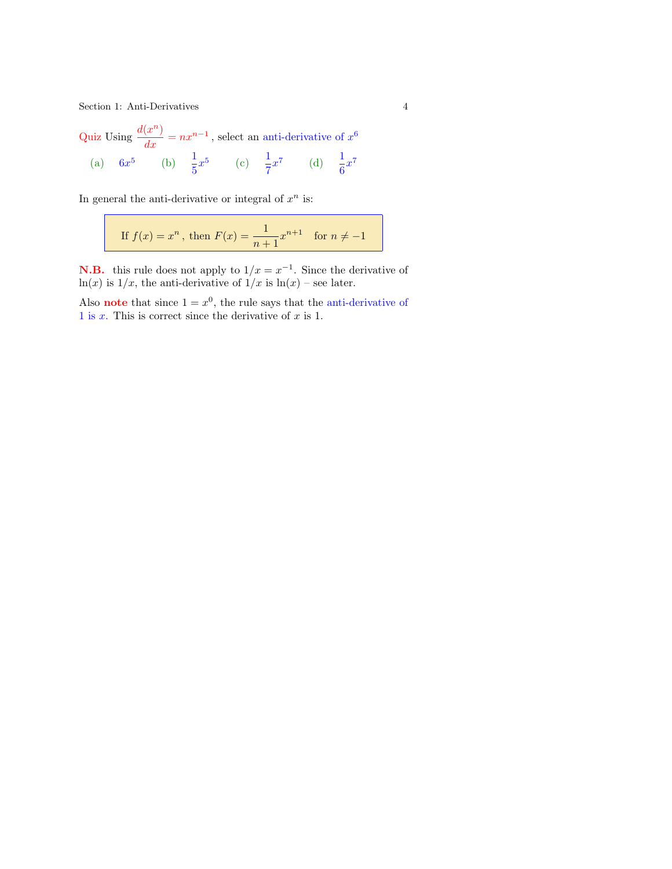Section 1: Anti-Derivatives 4

Quiz Using  $\frac{d(x^n)}{dx} = nx^{n-1}$ , select an anti-derivative of  $x^6$ (a)  $6x^5$  (b)  $\frac{1}{5}x^5$  (c)  $\frac{1}{7}x^7$  (d)  $\frac{1}{6}x^7$ 

In general the anti-derivative or integral of  $x^n$  is:

If 
$$
f(x) = x^n
$$
, then  $F(x) = \frac{1}{n+1}x^{n+1}$  for  $n \neq -1$ 

**N.B.** this rule does not apply to  $1/x = x^{-1}$ . Since the derivative of ln(x) is  $1/x$ , the anti-derivative of  $1/x$  is  $ln(x)$  – see later.

Also **note** that since  $1 = x^0$ , the rule says that the anti-derivative of 1 is  $x$ . This is correct since the derivative of  $x$  is 1.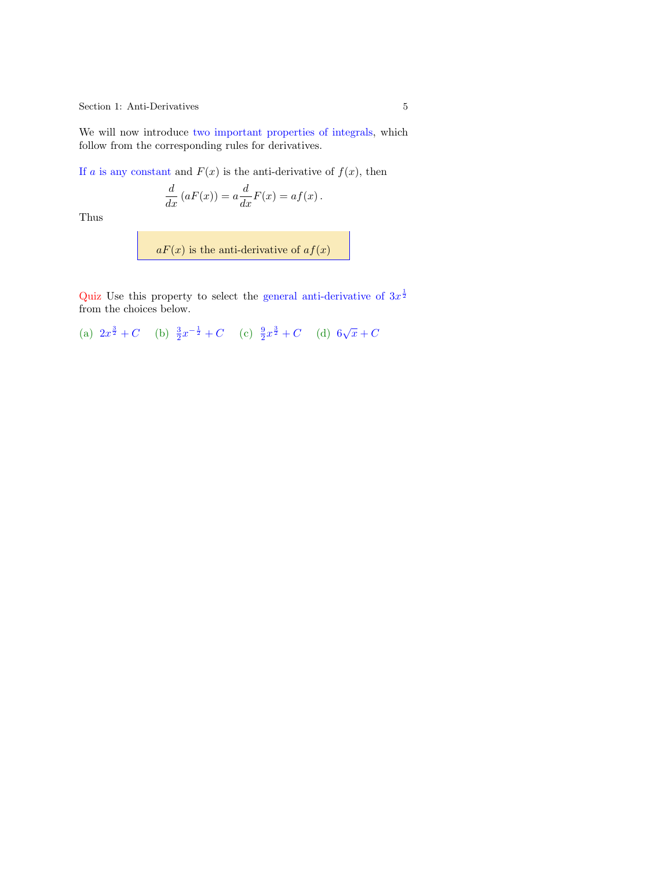<span id="page-4-0"></span>Section 1: Anti-Derivatives 5

We will now introduce two important properties of integrals, which follow from the corresponding rules for derivatives.

If a is any constant and  $F(x)$  is the anti-derivative of  $f(x)$ , then

$$
\frac{d}{dx}(aF(x)) = a\frac{d}{dx}F(x) = af(x).
$$

Thus

 $aF(x)$  is the anti-derivative of  $af(x)$ 

Quiz Use this property to select the general anti-derivative of  $3x^{\frac{1}{2}}$ from the choices below.

(a)  $2x^{\frac{3}{2}} + C$  (b)  $\frac{3}{2}x^{-\frac{1}{2}} + C$  (c)  $\frac{9}{2}x^{\frac{3}{2}} + C$  (d)  $6\sqrt{x} + C$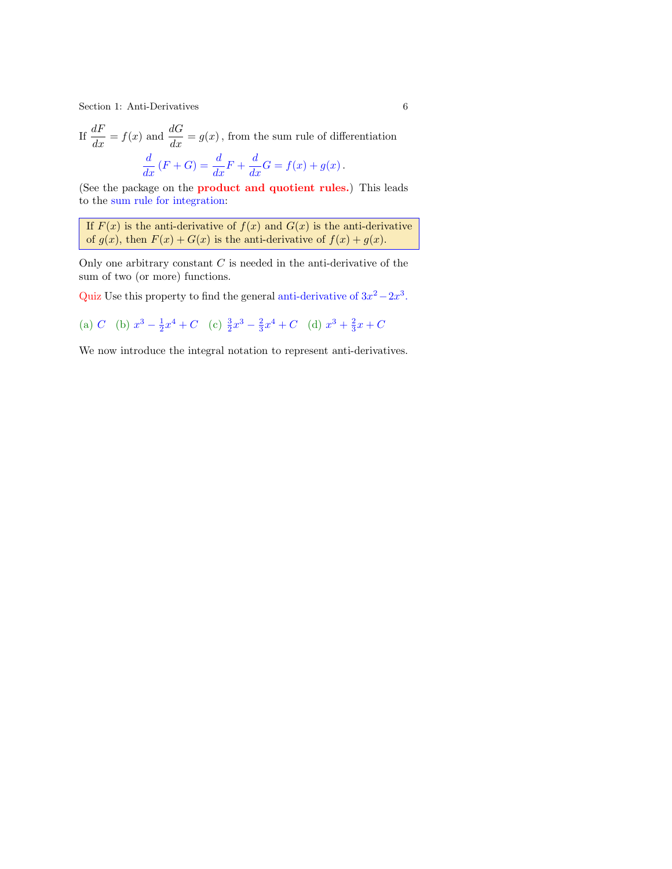Section 1: Anti-Derivatives 6

If 
$$
\frac{dF}{dx} = f(x)
$$
 and  $\frac{dG}{dx} = g(x)$ , from the sum rule of differentiation  

$$
\frac{d}{dx}(F+G) = \frac{d}{dx}F + \frac{d}{dx}G = f(x) + g(x).
$$

(See the package on the product and quotient rules.) This leads to the sum rule for integration:

If  $F(x)$  is the anti-derivative of  $f(x)$  and  $G(x)$  is the anti-derivative of  $g(x)$ , then  $F(x) + G(x)$  is the anti-derivative of  $f(x) + g(x)$ .

Only one arbitrary constant  $C$  is needed in the anti-derivative of the sum of two (or more) functions.

Quiz Use this property to find the general anti-derivative of  $3x^2 - 2x^3$ .

(a) C (b) 
$$
x^3 - \frac{1}{2}x^4 + C
$$
 (c)  $\frac{3}{2}x^3 - \frac{2}{3}x^4 + C$  (d)  $x^3 + \frac{2}{3}x + C$ 

We now introduce the integral notation to represent anti-derivatives.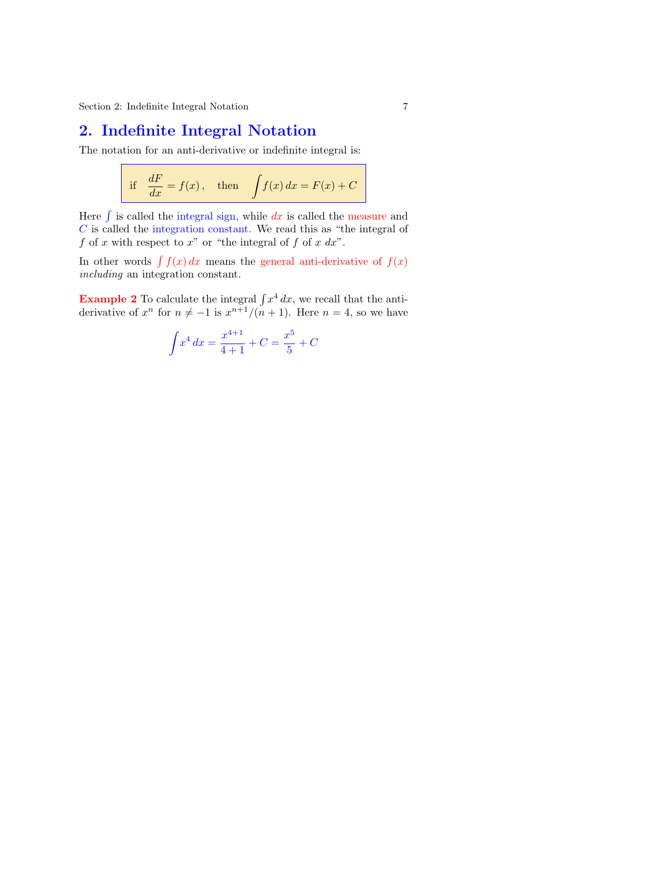## 2. Indefinite Integral Notation

The notation for an anti-derivative or indefinite integral is:

if 
$$
\frac{dF}{dx} = f(x)
$$
, then  $\int f(x) dx = F(x) + C$ 

Here  $\int$  is called the integral sign, while dx is called the measure and C is called the integration constant. We read this as "the integral of f of x with respect to x" or "the integral of f of x  $dx$ ".

In other words  $\int f(x) dx$  means the general anti-derivative of  $f(x)$ including an integration constant.

**Example 2** To calculate the integral  $\int x^4 dx$ , we recall that the antiderivative of  $x^n$  for  $n \neq -1$  is  $x^{n+1}/(n+1)$ . Here  $n = 4$ , so we have

$$
\int x^4 dx = \frac{x^{4+1}}{4+1} + C = \frac{x^5}{5} + C
$$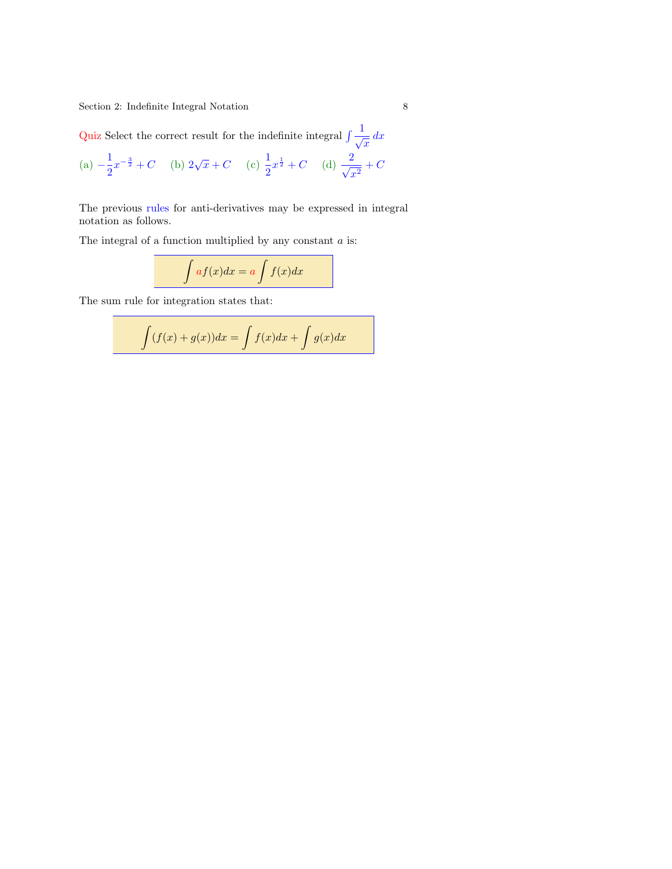<span id="page-7-0"></span>Quiz Select the correct result for the indefinite integral  $\int \frac{1}{\sqrt{x}} dx$ 

(a) 
$$
-\frac{1}{2}x^{-\frac{3}{2}} + C
$$
 (b)  $2\sqrt{x} + C$  (c)  $\frac{1}{2}x^{\frac{1}{2}} + C$  (d)  $\frac{2}{\sqrt{x^2}} + C$ 

The previous rules for anti-derivatives may be expressed in integral notation as follows.

The integral of a function multiplied by any constant  $\boldsymbol{a}$  is:

$$
\int af(x)dx = a \int f(x)dx
$$

The sum rule for integration states that:

$$
\int (f(x) + g(x))dx = \int f(x)dx + \int g(x)dx
$$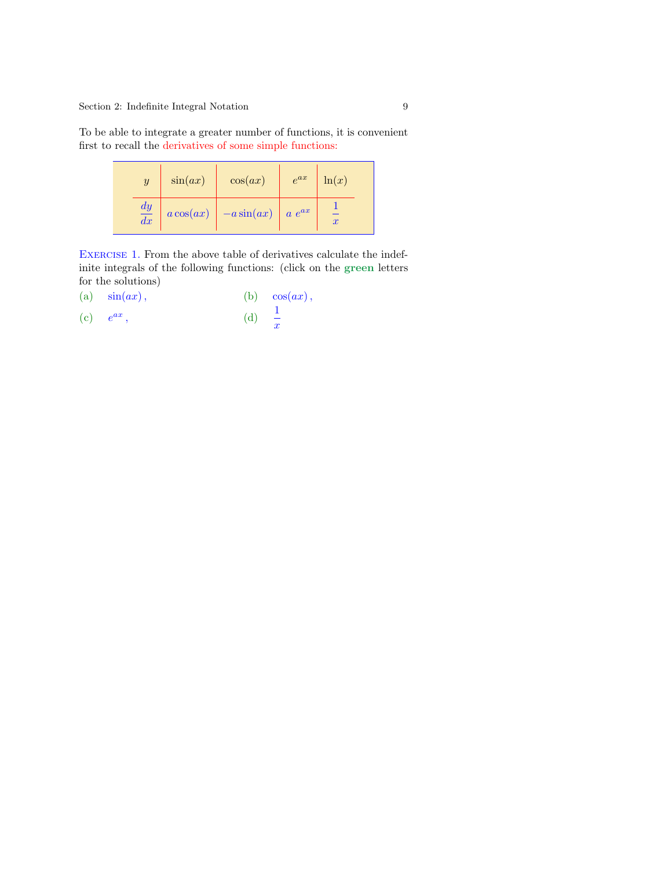<span id="page-8-0"></span>To be able to integrate a greater number of functions, it is convenient first to recall the derivatives of some simple functions:

| $\boldsymbol{y}$ | sin(ax)     | cos(ax)      | $e^{ax}$   | $\ln(x)$         |  |  |
|------------------|-------------|--------------|------------|------------------|--|--|
| $\frac{dy}{dx}$  | $a\cos(ax)$ | $-a\sin(ax)$ | $a e^{ax}$ | $\boldsymbol{x}$ |  |  |

EXERCISE 1. From the above table of derivatives calculate the indefinite integrals of the following functions: (click on the green letters for the solutions)

- (a)  $\sin(ax)$ , (b)  $\cos(ax)$ ,
- $(c)$   $e^{ax}$ ,  $(d)$   $\frac{1}{x}$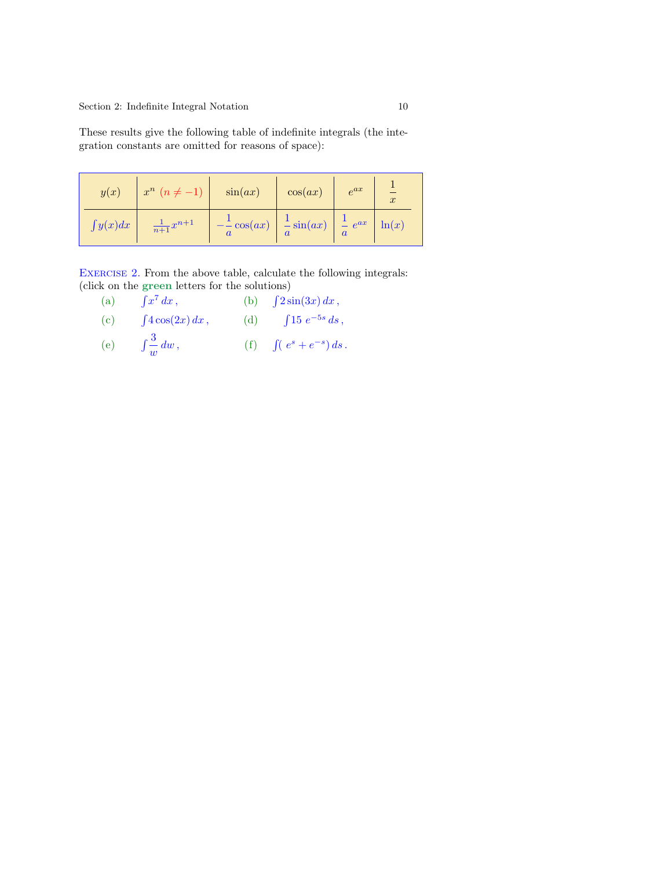<span id="page-9-0"></span>These results give the following table of indefinite integrals (the integration constants are omitted for reasons of space):

| y(x)          | $x^n$ $(n \neq -1)$    | $\sin(ax)$             | cos(ax)               | $e^{ax}$              | $\boldsymbol{x}$ |
|---------------|------------------------|------------------------|-----------------------|-----------------------|------------------|
| $\int y(x)dx$ | $\frac{1}{n+1}x^{n+1}$ | $-\frac{1}{a}\cos(ax)$ | $\frac{1}{a}\sin(ax)$ | $\int_{a}^{1} e^{ax}$ | $\ln(x)$         |

EXERCISE 2. From the above table, calculate the following integrals: (click on the green letters for the solutions)

- (a)  $\int x^7 dx$ , (b)  $\int 2\sin(3x) dx$ ,
- (c)  $\int 4\cos(2x) dx$ , (d)  $\int 15 e^{-5s} ds$ ,
- (e)  $\int \frac{3}{w} dw$ , (f)  $\int (e^s + e^{-s}) ds$ .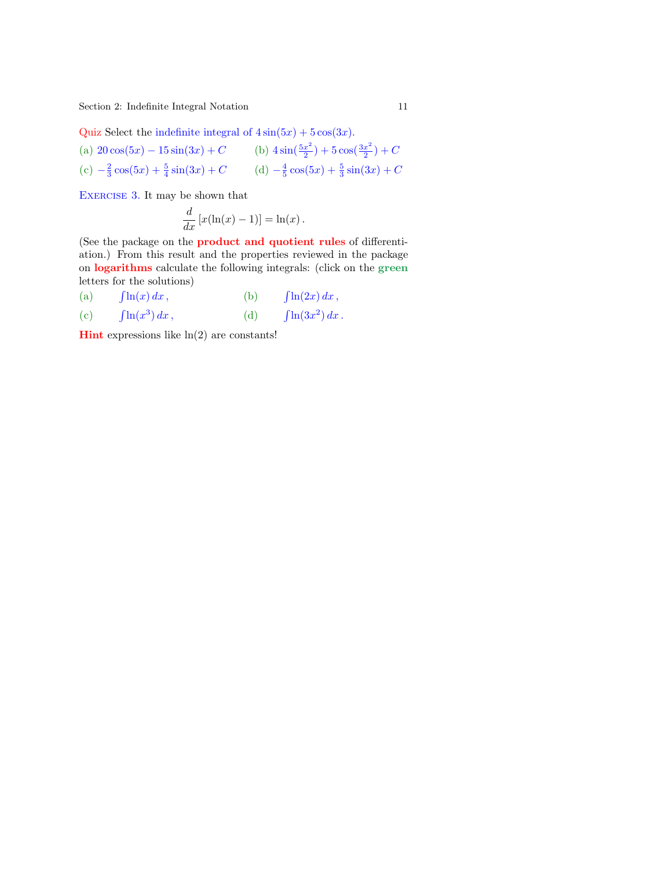<span id="page-10-1"></span><span id="page-10-0"></span>Quiz Select the indefinite integral of  $4\sin(5x) + 5\cos(3x)$ .

(a)  $20\cos(5x) - 15\sin(3x) + C$  (b)  $4\sin(\frac{5x^2}{2})$  $(\frac{x^2}{2})+5\cos(\frac{3x^2}{2})$  $\frac{x^2}{2})+C$ (c)  $-\frac{2}{3}\cos(5x) + \frac{5}{4}\sin(3x) + C$  (d)  $-\frac{4}{5}\cos(5x) + \frac{5}{3}\sin(3x) + C$ 

EXERCISE 3. It may [be sh](#page-25-0)own that

$$
\frac{d}{dx}\left[x(\ln(x)-1)\right] = \ln(x).
$$

(See the package on the product and quotient rules of differentiation.) From this result and the properties reviewed in the package on logarithms calculate the following integrals: (click on the green letters for the solutions)

- $(a)$  $\int \ln(x) dx$ , (b)  $\int$ ln(2x) dx,
- $(c)$  $\ln(x^3) dx$ , (d)  $\int$  $ln(3x^2) dx$ .

**Hint** expressions like  $\ln(2)$  are constants!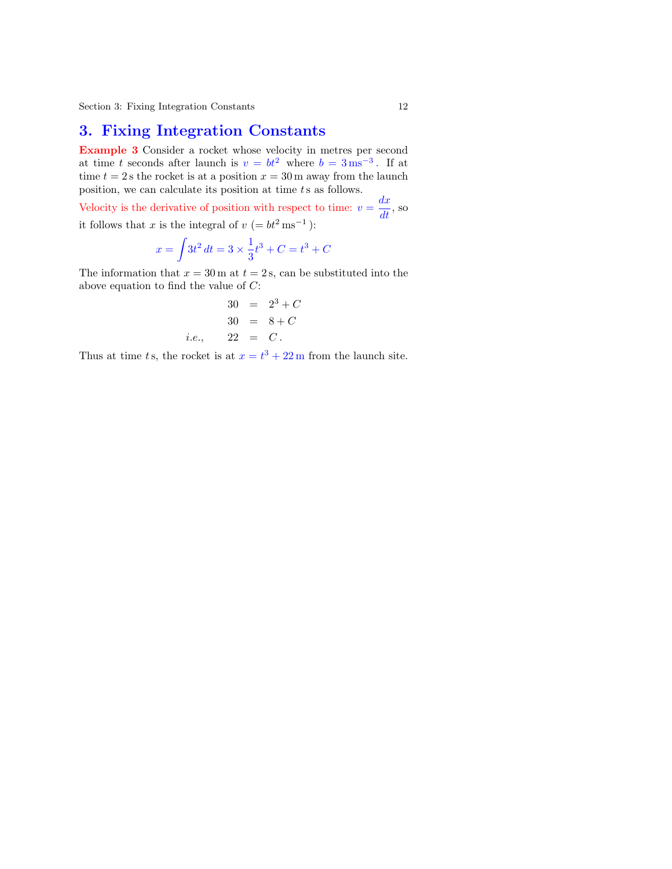### 3. Fixing Integration Constants

Example 3 Consider a rocket whose velocity in metres per second at time t seconds after launch is  $v = bt^2$  where  $b = 3 \,\text{ms}^{-3}$ . If at time  $t = 2$  s the rocket is at a position  $x = 30$  m away from the launch position, we can calculate its position at time ts as follows.

Velocity is the derivative of position with respect to time:  $v = \frac{dx}{dt}$ , so it follows that x is the integral of  $v (= bt^2 \text{ ms}^{-1})$ :

$$
x = \int 3t^2 dt = 3 \times \frac{1}{3}t^3 + C = t^3 + C
$$

The information that  $x = 30$  m at  $t = 2$  s, can be substituted into the above equation to find the value of C:

$$
30 = 23 + C
$$
  
\n
$$
30 = 8 + C
$$
  
\n*i.e.*, 22 = C.

Thus at time ts, the rocket is at  $x = t^3 + 22$  m from the launch site.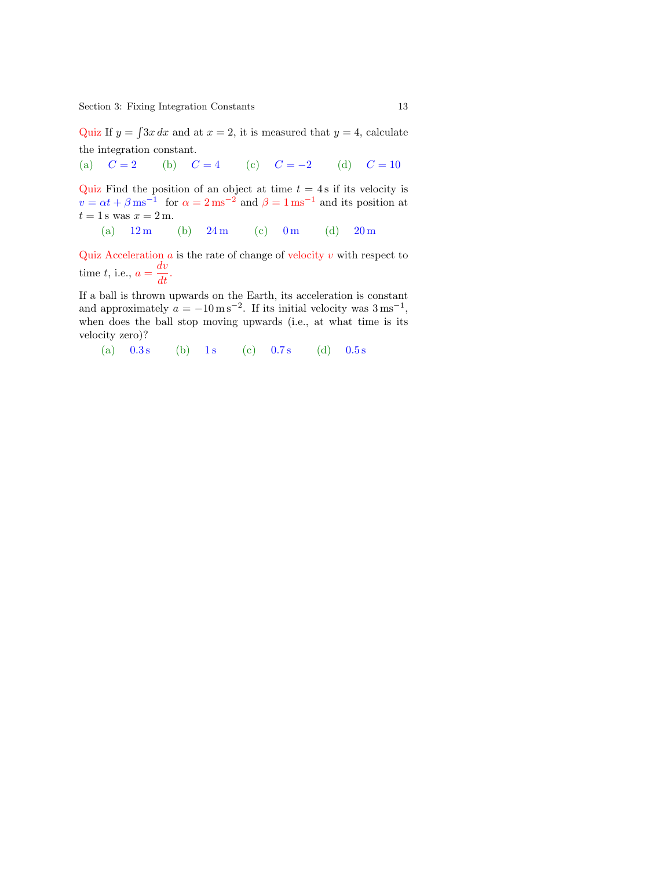<span id="page-12-0"></span>Section 3: Fixing Integration Constants 13

Quiz If  $y = \int 3x \, dx$  and at  $x = 2$ , it is measured that  $y = 4$ , calculate the integration constant.

(a)  $C = 2$  (b)  $C = 4$  (c)  $C = -2$  (d)  $C = 10$ 

Quiz Find the position of an object at time  $t = 4$  s if its velocity is  $v = \alpha t + \beta \,\text{ms}^{-1}$  for  $\alpha = 2 \,\text{ms}^{-2}$  and  $\beta = 1 \,\text{ms}^{-1}$  and its position at  $t = 1$  s was  $x = 2$  m.

(a)  $12 \text{ m}$  (b)  $24 \text{ m}$  (c)  $0 \text{ m}$  (d)  $20 \text{ m}$ 

Quiz Acceleration  $a$  is the rate of change of velocity  $v$  with respect to time t, i.e.,  $a = \frac{dv}{dt}$ .

If a ball is thrown upwards on the Earth, its acceleration is constant and approximately  $a = -10 \,\mathrm{m\,s^{-2}}$ . If its initial velocity was  $3 \,\mathrm{m\,s^{-1}}$ , when does the ball stop moving upwards (i.e., at what time is its velocity zero)?

(a)  $0.3 s$  (b) 1s (c)  $0.7 s$  (d)  $0.5 s$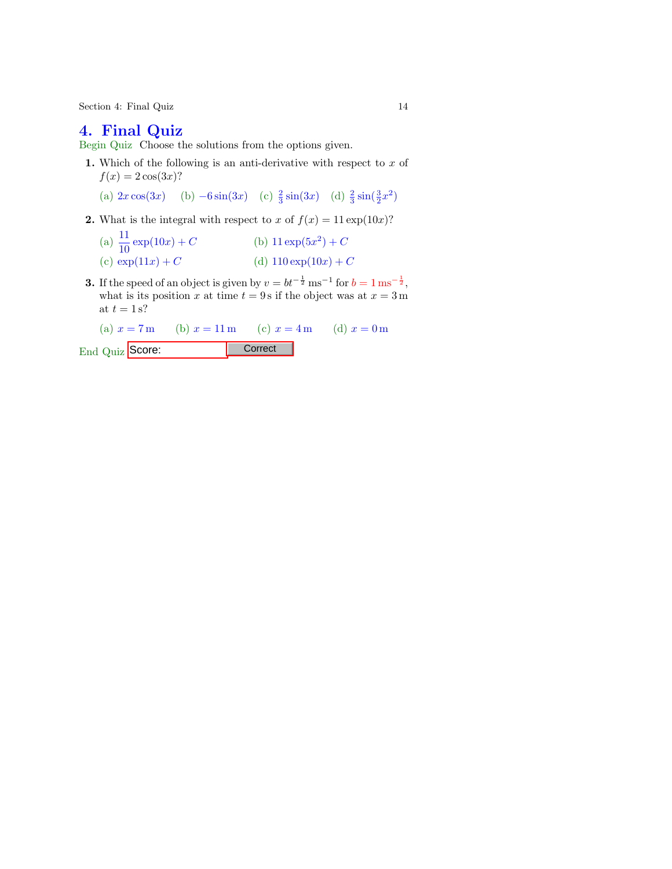Section 4: Final Quiz 14

#### 4. Final Quiz

Begin Quiz Choose the solutions from the options given.

- 1. Which of the following is an anti-derivative with respect to  $x$  of  $f(x) = 2 \cos(3x)$ ?
	- (a)  $2x \cos(3x)$  (b)  $-6 \sin(3x)$  (c)  $\frac{2}{3} \sin(3x)$  (d)  $\frac{2}{3} \sin(\frac{3}{2}x^2)$
- 2. What is the integral with respect to x of  $f(x) = 11 \exp(10x)$ ?
	- (a)  $\frac{11}{10}$  $\exp(10x) + C$  (b)  $11 \exp(5x^2) + C$ (c)  $\exp(11x) + C$  (d)  $110 \exp(10x) + C$
- **3.** If the speed of an object is given by  $v = bt^{-\frac{1}{2}} \text{ ms}^{-1}$  for  $b = 1 \text{ ms}^{-\frac{1}{2}}$ , what is its position x at time  $t = 9$  s if the object was at  $x = 3$  m at  $t = 1$  s?

(a)  $x = 7$  m (b)  $x = 11$  m (c)  $x = 4$  m (d)  $x = 0$  m End Quiz Score: Correct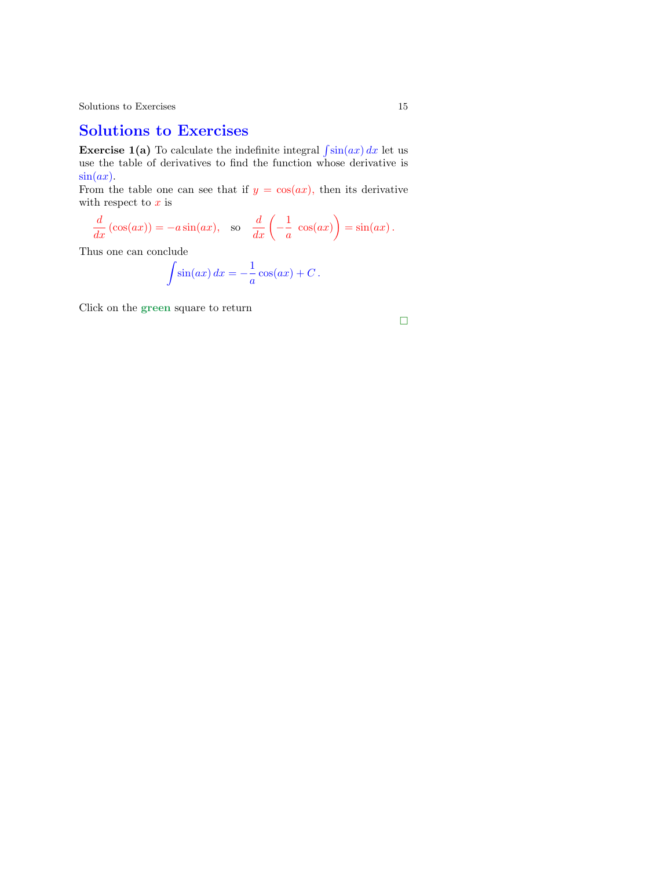#### Solutions to Exercises

**Exercise 1(a)** To calculate the indefinite integral  $\int \sin(ax) dx$  let us use the table of derivatives to find the function whose derivative is  $\sin(ax)$ .

From the table one can see that if  $y = \cos(ax)$ , then its derivative with respect to  $x$  is

$$
\frac{d}{dx}(\cos(ax)) = -a\sin(ax), \text{ so } \frac{d}{dx}\left(-\frac{1}{a}\cos(ax)\right) = \sin(ax).
$$

Thus one can conclude

$$
\int \sin(ax) \, dx = -\frac{1}{a} \cos(ax) + C \, .
$$

Click on the green square to return

$$
\Box
$$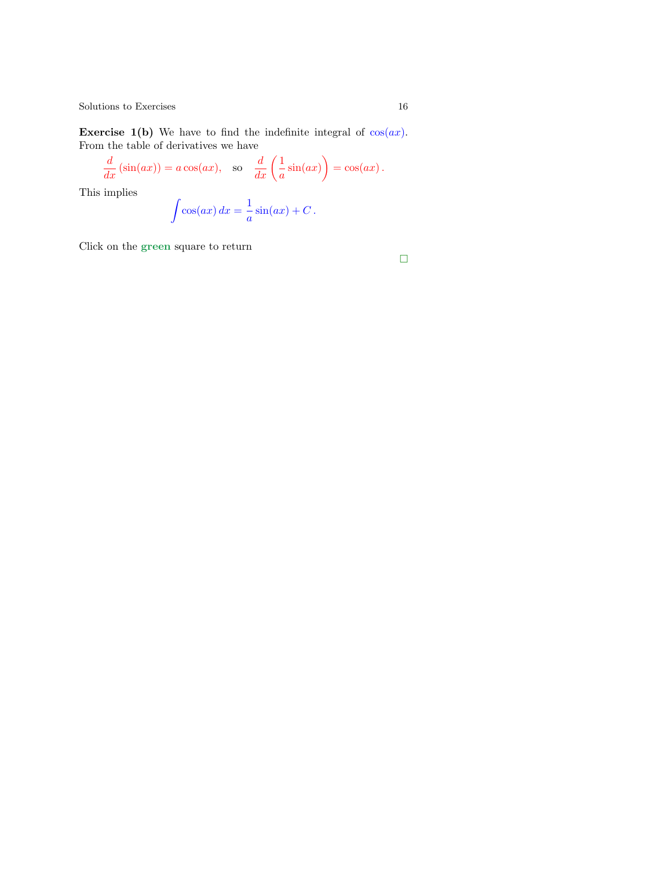Exercise 1(b) We have to find the indefinite integral of  $cos(ax)$ . From the table of derivatives we have

$$
\frac{d}{dx}(\sin(ax)) = a\cos(ax), \text{ so } \frac{d}{dx}\left(\frac{1}{a}\sin(ax)\right) = \cos(ax).
$$
\n
$$
\text{implies}
$$

This implies

$$
\int \cos(ax) \, dx = \frac{1}{a} \sin(ax) + C \, .
$$

Click on the green square to return

 $\Box$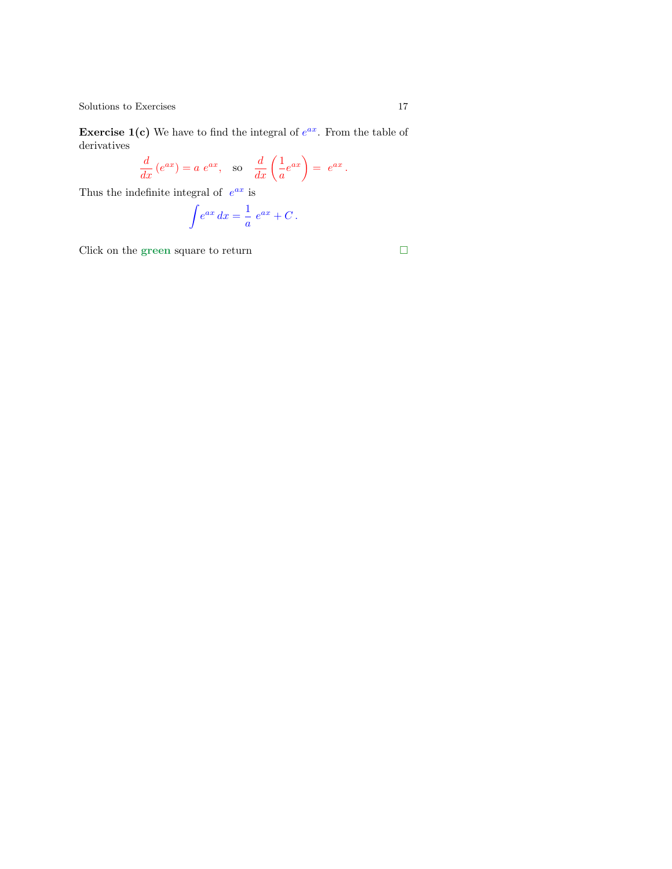**Exercise 1(c)** We have to find the integral of  $e^{ax}$ . From the table of derivatives

$$
\frac{d}{dx}(e^{ax}) = a e^{ax}, \text{ so } \frac{d}{dx}\left(\frac{1}{a}e^{ax}\right) = e^{ax}.
$$

Thus the indefinite integral of  $e^{ax}$  is

$$
\int e^{ax} dx = \frac{1}{a} e^{ax} + C.
$$

Click on the green square to return  $\hfill \square$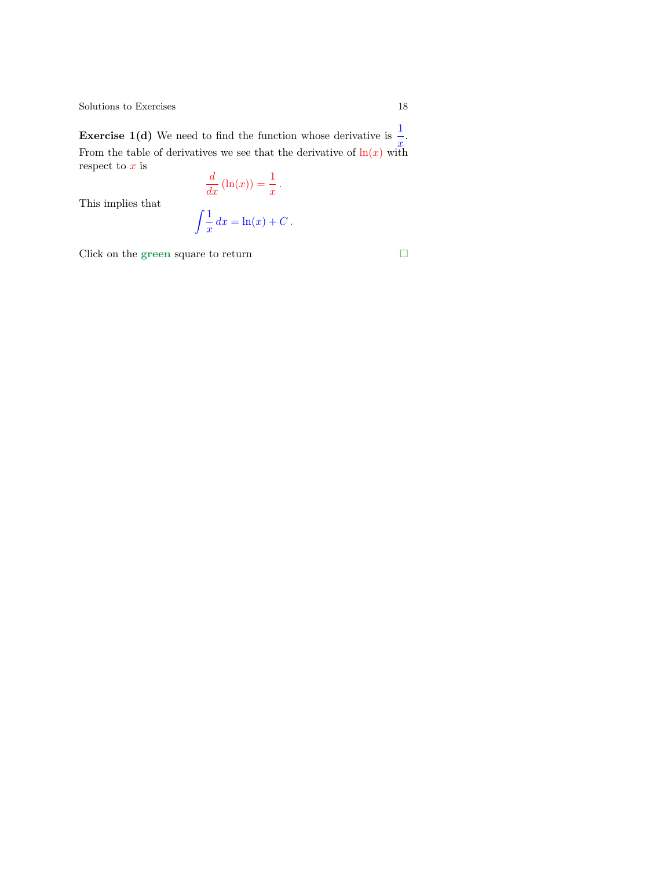<span id="page-17-0"></span>**Exercise 1(d)** We need to find the function whose derivative is  $\frac{1}{x}$ . From the tabl[e o](#page-8-0)f derivatives we see that the derivative of  $\ln(x)$  with respect to  $x$  is

 $\frac{d}{dx}(\ln(x)) = \frac{1}{x}.$ 

This implies that

$$
\int \frac{1}{x} dx = \ln(x) + C.
$$

Click on the green square to return  $\Box$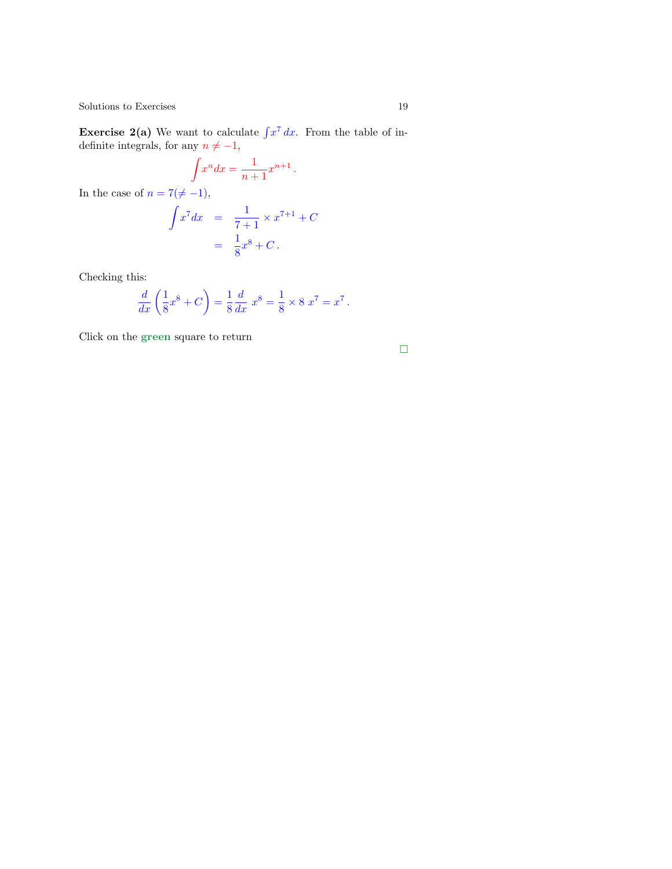**Exercise 2(a)** We want to calculate  $\int x^7 dx$ . From the table of indefinite integrals, for any  $n \neq -1$ ,

 $\int x^n dx = \frac{1}{\sqrt{2\pi}}$  $\frac{1}{n+1}x^{n+1}$ . In the case of  $n = 7(\neq -1)$ ,

$$
\int x^7 dx = \frac{1}{7+1} \times x^{7+1} + C
$$
  
=  $\frac{1}{8}x^8 + C$ .

Checking this:

$$
\frac{d}{dx}\left(\frac{1}{8}x^{8}+C\right)=\frac{1}{8}\frac{d}{dx}x^{8}=\frac{1}{8}\times 8\ x^{7}=x^{7}\,.
$$

Click on the green square to return

$$
\Box
$$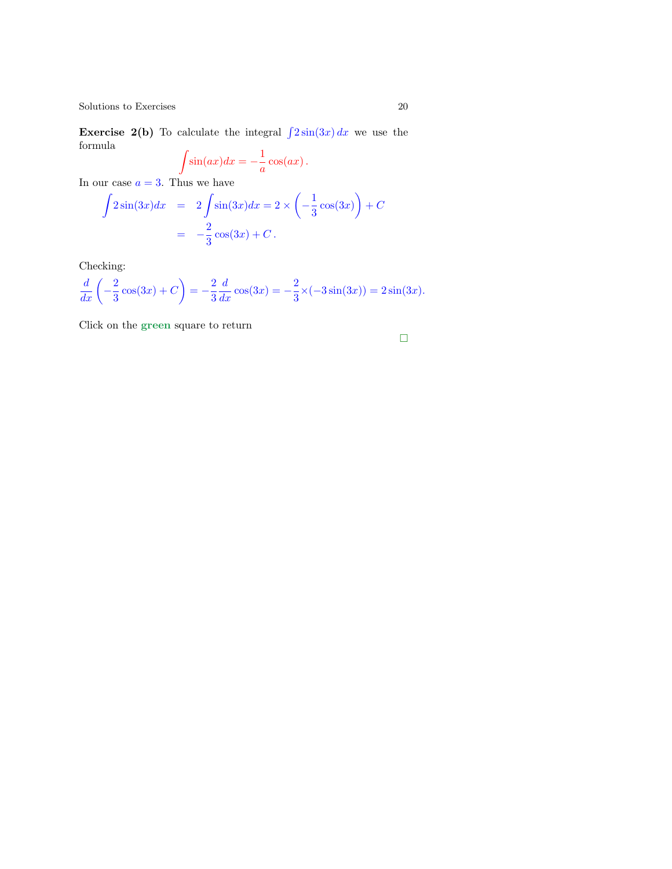**Exercise 2(b)** To calculate the integral  $\int 2\sin(3x) dx$  we use the formula  $\overline{a}$ 11

$$
\int \sin(ax)dx = -\frac{1}{a}\cos(ax).
$$

In our case  $a = 3$ . Thus we have

$$
\int 2\sin(3x)dx = 2\int \sin(3x)dx = 2 \times \left(-\frac{1}{3}\cos(3x)\right) + C
$$

$$
= -\frac{2}{3}\cos(3x) + C.
$$

Checking:

$$
\frac{d}{dx}\left(-\frac{2}{3}\cos(3x) + C\right) = -\frac{2}{3}\frac{d}{dx}\cos(3x) = -\frac{2}{3}\times(-3\sin(3x)) = 2\sin(3x).
$$

Click on the green square to return

$$
\Box
$$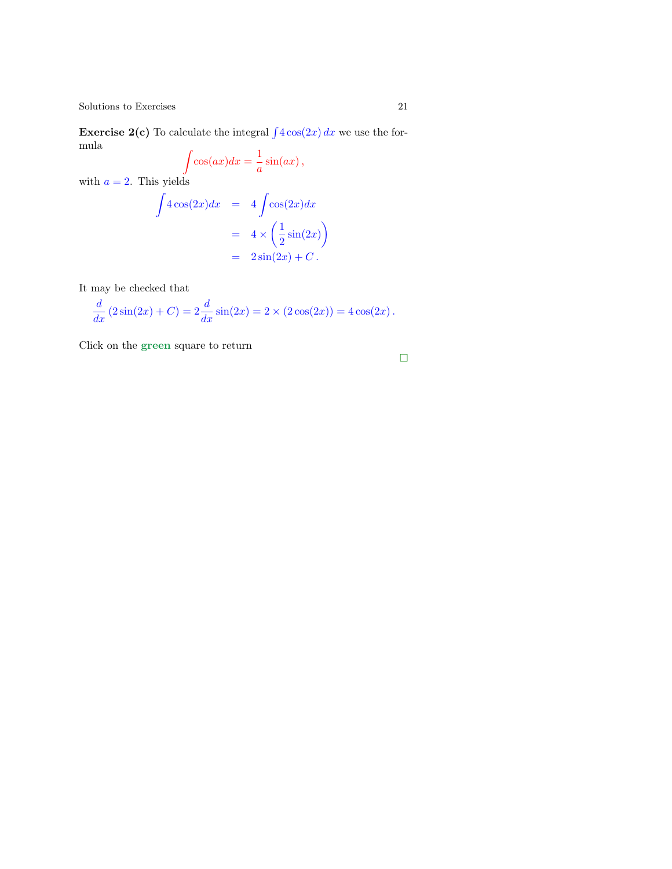**Exercise 2(c)** To calculate the integral  $\int 4 \cos(2x) dx$  we use the formula  $\overline{a}$ 1

$$
\int \cos(ax)dx = \frac{1}{a}\sin(ax),
$$

with  $a = 2$ . This yields

Z

$$
4\cos(2x)dx = 4\int \cos(2x)dx
$$
  
=  $4 \times \left(\frac{1}{2}\sin(2x)\right)$   
=  $2\sin(2x) + C$ .

It may be checked that

$$
\frac{d}{dx} (2\sin(2x) + C) = 2\frac{d}{dx}\sin(2x) = 2 \times (2\cos(2x)) = 4\cos(2x).
$$

Click on the green square to return

 $\Box$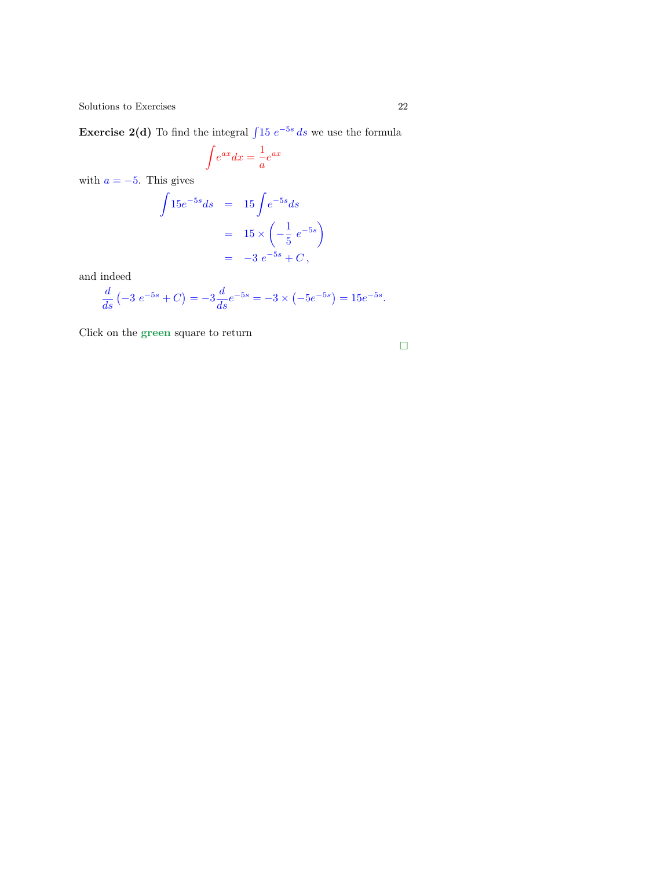<span id="page-21-0"></span>**Exercise 2(d)** To find the integral  $\int 15 e^{-5s} ds$  we use the formula

$$
\int e^{ax} dx = \frac{1}{a} e^{ax}
$$

with  $a = -5$ . This gives

$$
\int 15e^{-5s}ds = 15 \int e^{-5s}ds
$$
  
=  $15 \times \left(-\frac{1}{5}e^{-5s}\right)$   
=  $-3 e^{-5s} + C$ ,

and indeed

$$
\frac{d}{ds}(-3 e^{-5s} + C) = -3\frac{d}{ds}e^{-5s} = -3 \times (-5e^{-5s}) = 15e^{-5s}.
$$

Click on the green square to return

$$
\Box
$$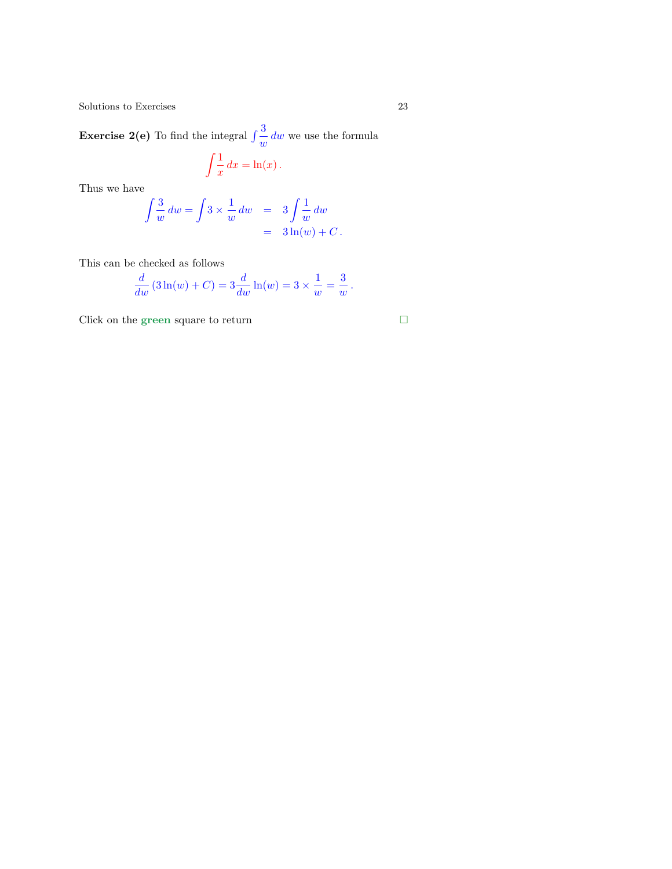**Exercise 2(e)** To find the integral  $\int \frac{3}{w} dw$  we use the formula

$$
\int \frac{1}{x} \, dx = \ln(x) \, .
$$

Thus we have

$$
\int \frac{3}{w} dw = \int 3 \times \frac{1}{w} dw = 3 \int \frac{1}{w} dw
$$
  
= 3 \ln(w) + C.

This can be checked as follows

$$
\frac{d}{dw} (3\ln(w) + C) = 3\frac{d}{dw} \ln(w) = 3 \times \frac{1}{w} = \frac{3}{w}.
$$

Click on the green square to return

$$
\Box
$$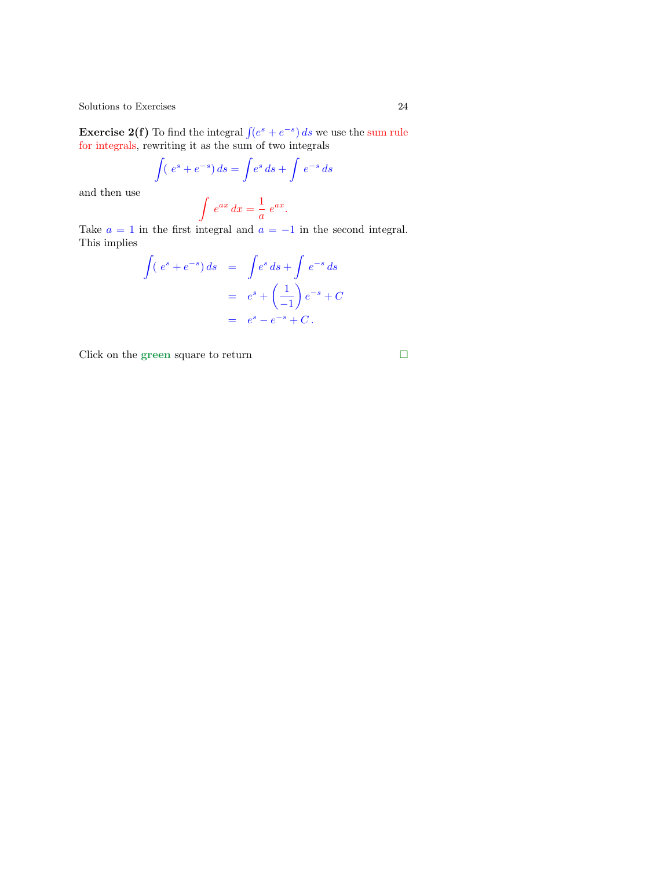**Exercise 2(f)** To find the integral  $\int (e^s + e^{-s}) ds$  we use the sum rule for integrals, rewriting it as the sum of two integrals

$$
\int (e^s + e^{-s}) ds = \int e^s ds + \int e^{-s} ds
$$

and then use

 $\int e^{ax} dx = \frac{1}{2}$  $\frac{1}{a}e^{ax}.$ 

Take  $a = 1$  in the first integral and  $a = -1$  in the second integral. This implies

$$
\int (e^s + e^{-s}) ds = \int e^s ds + \int e^{-s} ds
$$

$$
= e^s + \left(\frac{1}{-1}\right) e^{-s} + C
$$

$$
= e^s - e^{-s} + C.
$$

Click on the green square to return  $\hfill \Box$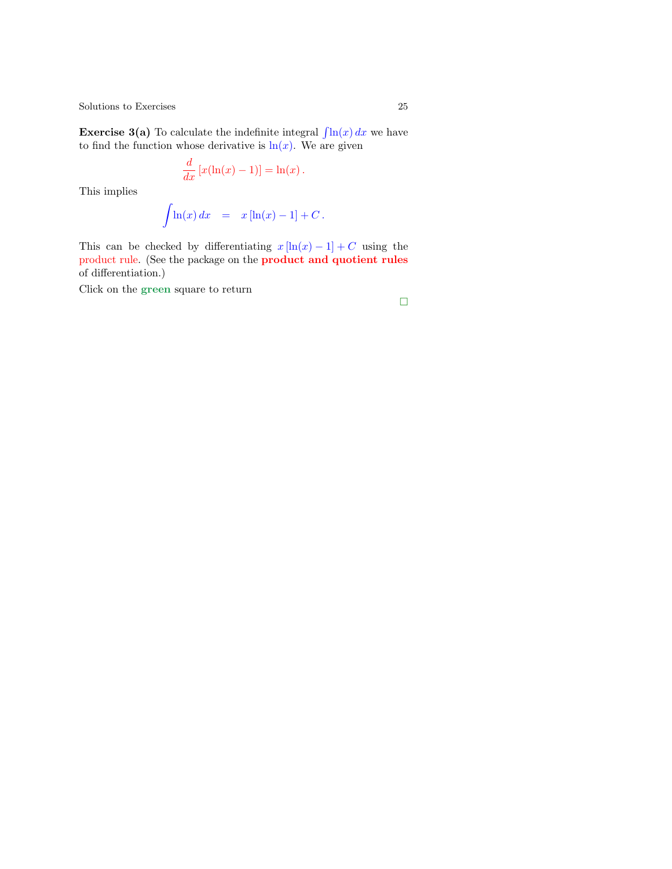**Exercise 3(a)** To calculate the indefinite integral  $\int \ln(x) dx$  we have to find the function whose derivative is  $\ln(x)$ . We are given

$$
\frac{d}{dx}\left[x(\ln(x)-1)\right] = \ln(x).
$$

This implies

$$
\int \ln(x) \, dx = x \left[ \ln(x) - 1 \right] + C \, .
$$

This can be checked by differentiating  $x \ln(x) - 1 + C$  using the product rule. (See the package on the product and quotient rules of differentiation.)

Click on the green square to return

$$
\Box
$$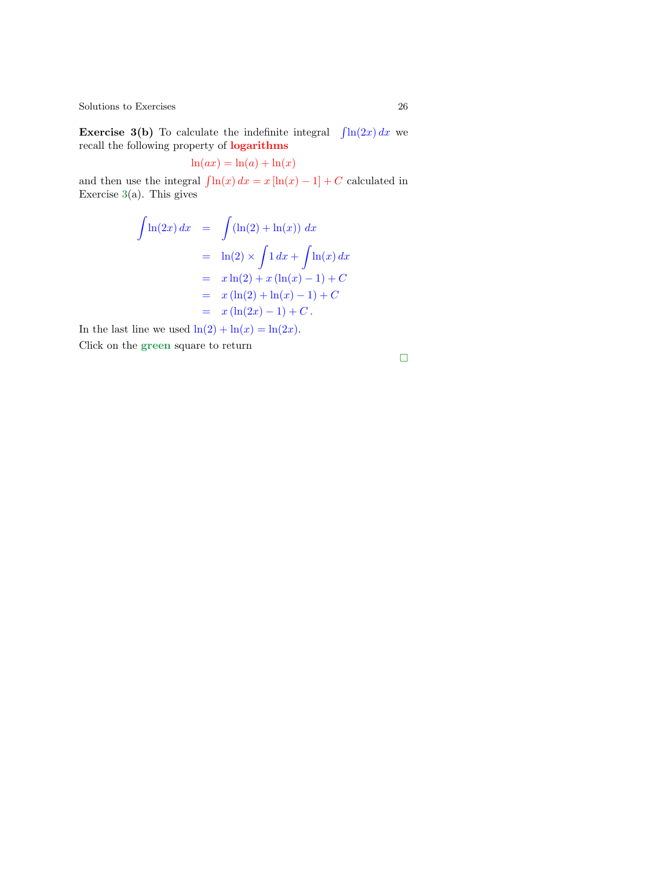<span id="page-25-0"></span>**Exercise 3(b)** To calculate the indefinite integral  $\int \ln(2x) dx$  we recall the following property of logarithms

$$
\ln(ax) = \ln(a) + \ln(x)
$$

and then use the integral  $\int \ln(x) dx = x [\ln(x) - 1] + C$  calculated in Exercise  $3(a)$ . This gives

$$
\int \ln(2x) dx = \int (\ln(2) + \ln(x)) dx
$$
  
=  $\ln(2) \times \int 1 dx + \int \ln(x) dx$   
=  $x \ln(2) + x (\ln(x) - 1) + C$   
=  $x (\ln(2) + \ln(x) - 1) + C$   
=  $x (\ln(2x) - 1) + C$ .

In the last line we used  $\ln(2) + \ln(x) = \ln(2x)$ . Click on the green square to return

 $\Box$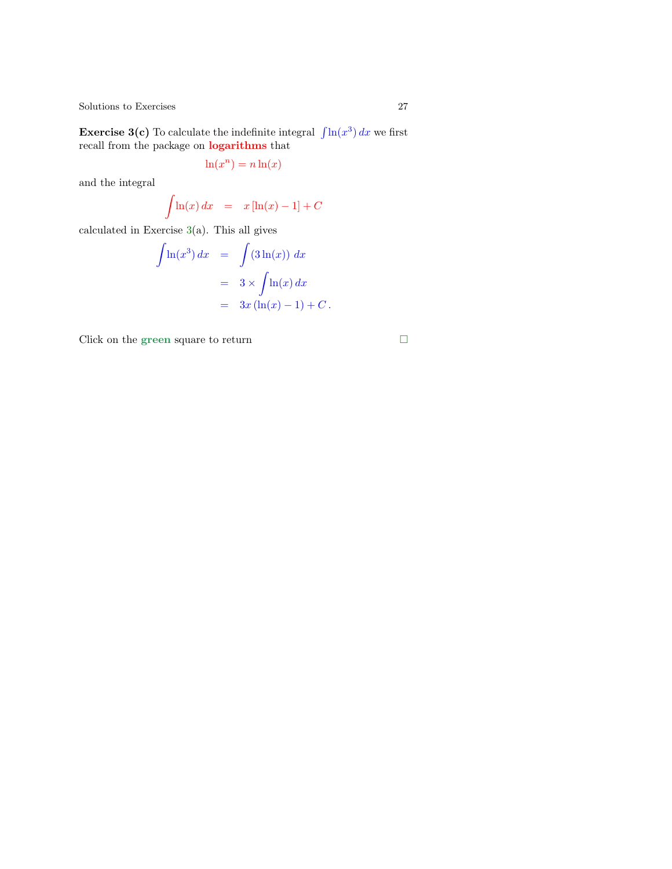**Exercise [3\(](#page-10-1)c)** To calculate the indefinite integral  $\int \ln(x^3) dx$  we first recall from the package on logarithms that

$$
\ln(x^n) = n \ln(x)
$$

and the integral

$$
\int \ln(x) dx = x \left[ \ln(x) - 1 \right] + C
$$

calculated in Exercise  $3(a)$ . This all gives

$$
\int \ln(x^3) dx = \int (3 \ln(x)) dx
$$
  
=  $3 \times \int \ln(x) dx$   
=  $3x (\ln(x) - 1) + C$ .

Click on the green square to return  $\hfill \square$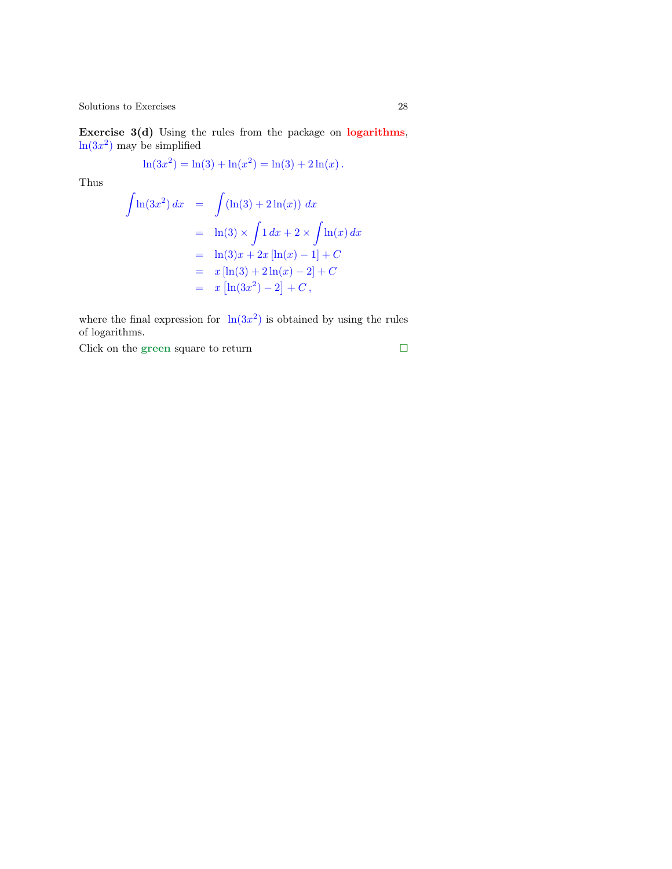<span id="page-27-0"></span>Exercise 3(d) Using the rules from the package on logarithms,  $ln(3x^2)$  may be simplified

$$
\ln(3x^2) = \ln(3) + \ln(x^2) = \ln(3) + 2\ln(x).
$$

Thus

$$
\int \ln(3x^2) dx = \int (\ln(3) + 2\ln(x)) dx
$$
  
=  $\ln(3) \times \int 1 dx + 2 \times \int \ln(x) dx$   
=  $\ln(3)x + 2x [\ln(x) - 1] + C$   
=  $x [\ln(3) + 2\ln(x) - 2] + C$   
=  $x [\ln(3x^2) - 2] + C$ ,

where the final expression for  $\ln(3x^2)$  is obtained by using the rules of logarithms.

Click on the green square to return  $\hfill \square$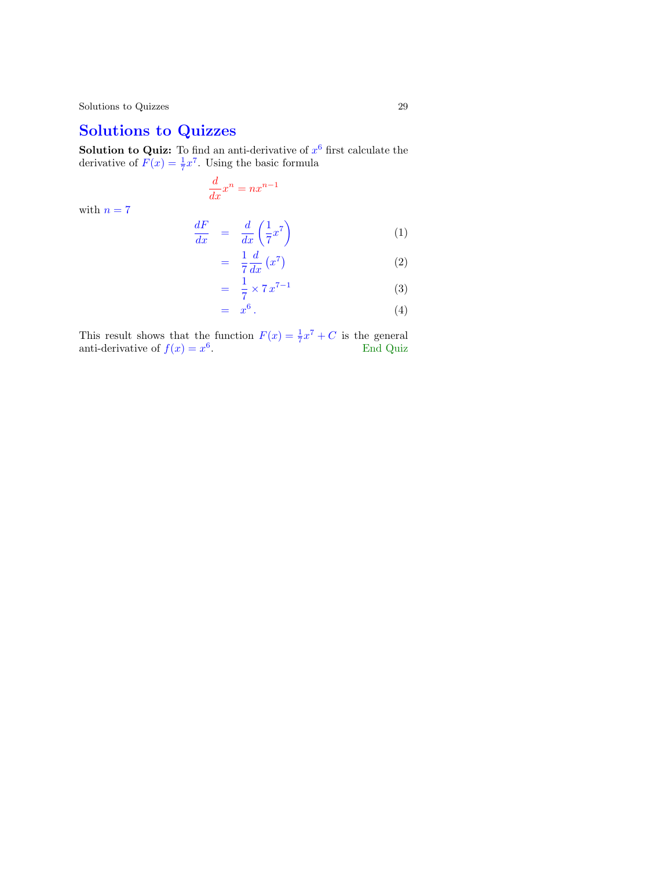# Solutions to Quizzes

**Solution to Quiz:** To find an anti-derivative of  $x^6$  first calculate the derivative of  $F(x) = \frac{1}{7}x^7$ . Using the basic formula

$$
\frac{d}{dx}x^n = nx^{n-1}
$$

with  $n=7$ 

$$
\frac{dF}{dx} = \frac{d}{dx}\left(\frac{1}{7}x^7\right) \tag{1}
$$

$$
= \frac{1}{7} \frac{d}{dx} (x^7) \tag{2}
$$

$$
= \frac{1}{7} \times 7 x^{7-1}
$$
 (3)

$$
= x^6. \tag{4}
$$

This result shows that the function  $F(x) = \frac{1}{7}x^7 + C$  is the general anti-derivative of  $f(x) = x^6$ . End Quiz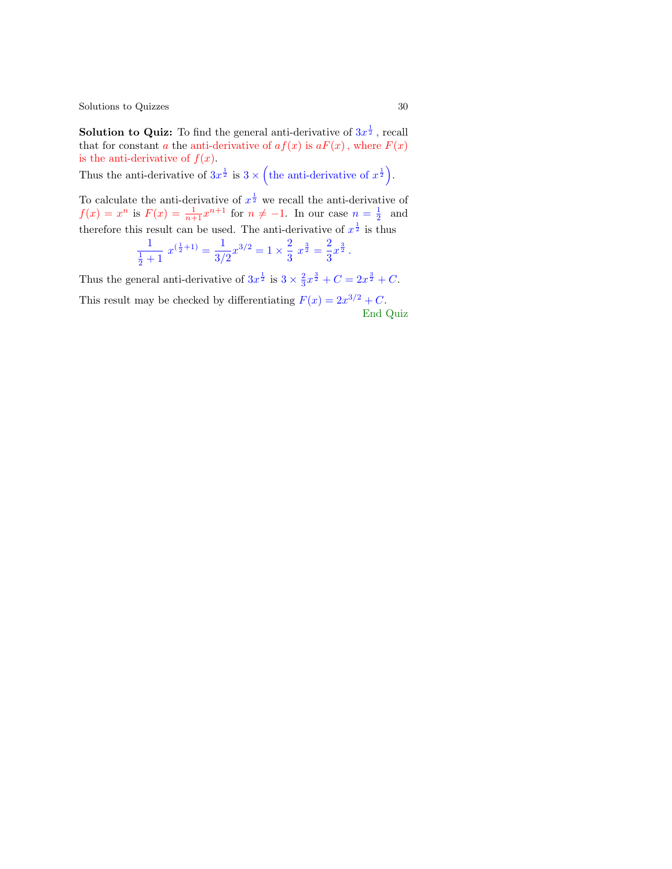**Solution to Quiz:** To find the general anti-derivative of  $3x^{\frac{1}{2}}$ , recall that for constant a the anti-derivative of  $af(x)$  is  $aF(x)$ , where  $F(x)$ is the anti-derivative of  $f(x)$ .

Thus the anti-derivative of  $3x^{\frac{1}{2}}$  is  $3 \times ($ the anti-derivative of  $x^{\frac{1}{2}})$ .

To calculate the anti-derivative of  $x^{\frac{1}{2}}$  we recall the anti-derivative of  $f(x) = x^n$  is  $F(x) = \frac{1}{n+1}x^{n+1}$  for  $n \neq -1$ . I[n our case](#page-4-0)  $n = \frac{1}{2}$  and therefore this result can be used. The anti-derivative of  $x^{\frac{1}{2}}$  is thus

$$
\frac{1}{\frac{1}{2}+1} x^{(\frac{1}{2}+1)} = \frac{1}{3/2} x^{3/2} = 1 \times \frac{2}{3} x^{\frac{3}{2}} = \frac{2}{3} x^{\frac{3}{2}}.
$$

Thus the general anti-derivative of  $3x^{\frac{1}{2}}$  is  $3 \times \frac{2}{3}x^{\frac{3}{2}} + C = 2x^{\frac{3}{2}} + C$ .

This result may be checked by differentiating  $F(x) = 2x^{3/2} + C$ . End Quiz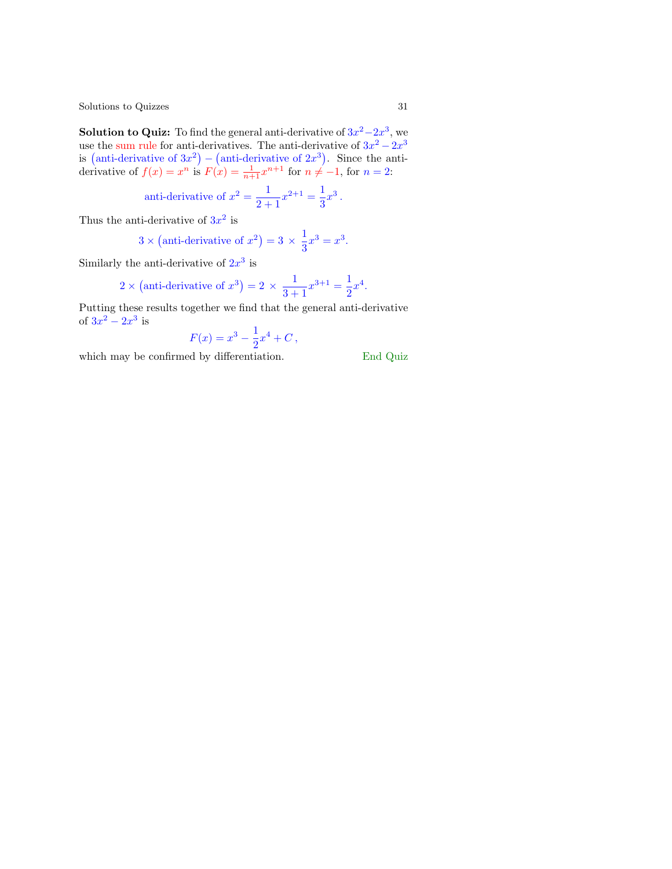**Solution to Quiz:** To find the general anti-derivative of  $3x^2 - 2x^3$ , we use the sum rule for anti-derivatives. The anti-derivative of  $3x^2 - 2x^3$ is (anti-derivative of  $3x^2$ ) – (anti-derivative of  $2x^3$ ). Since the antiderivative of  $f(x) = x^n$  is  $F(x) = \frac{1}{n+1}x^{n+1}$  for  $n \neq -1$ , for  $n = 2$ :

anti-derivative of 
$$
x^2 = \frac{1}{2+1}x^{2+1} = \frac{1}{3}x^3
$$
.

Thus the anti-derivative of  $3x^2$  is

$$
3 \times
$$
 (anti-derivative of  $x^2$ ) = 3  $\times \frac{1}{3}x^3 = x^3$ .

Similarly the anti-derivative of  $2x^3$  is

2 × (anti-derivative of 
$$
x^3
$$
) = 2 ×  $\frac{1}{3+1}x^{3+1} = \frac{1}{2}x^4$ .

Putting these results together we find that the general anti-derivative of  $3x^2 - 2x^3$  is

$$
F(x) = x^3 - \frac{1}{2}x^4 + C,
$$

which may be confirmed by differentiation. End Quiz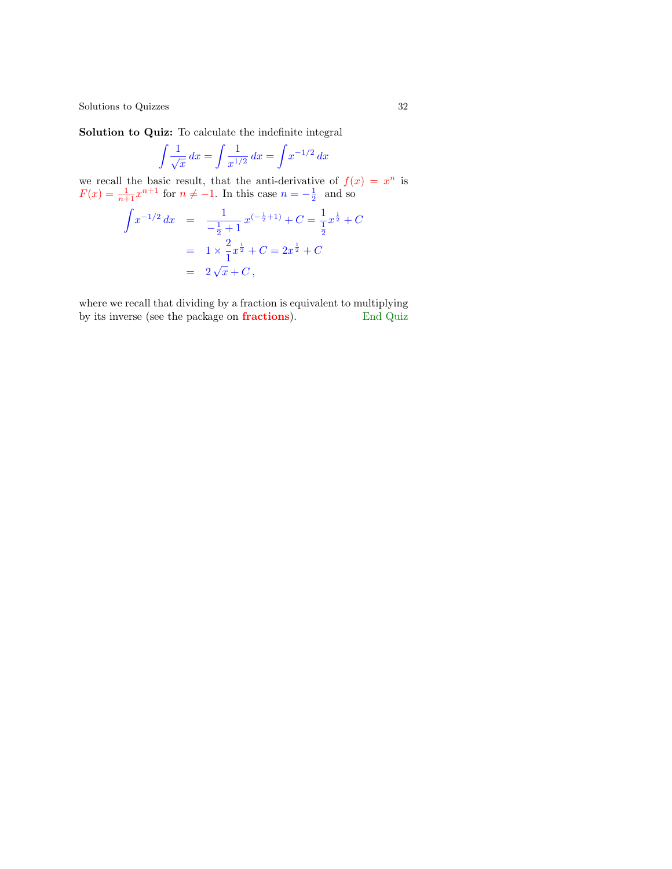Solution to Quiz: To calculate the indefinite integral

$$
\int \frac{1}{\sqrt{x}} \, dx = \int \frac{1}{x^{1/2}} \, dx = \int x^{-1/2} \, dx
$$

we recall the basic result, that the anti-derivative of  $f(x) = x^n$  is  $F(x) = \frac{1}{n+1}x^{n+1}$  for  $n \neq -1$ . In this case  $n = -\frac{1}{2}$  and so

$$
\int x^{-1/2} dx = \frac{1}{-\frac{1}{2}+1} x^{(-\frac{1}{2}+1)} + C = \frac{1}{\frac{1}{2}} x^{\frac{1}{2}} + C
$$

$$
= 1 \times \frac{2}{1} x^{\frac{1}{2}} + C = 2x^{\frac{1}{2}} + C
$$

$$
= 2\sqrt{x} + C,
$$

where we recall that dividing by a fraction is equivalent to multiplying by its inverse (see the package on **fractions**). End Quiz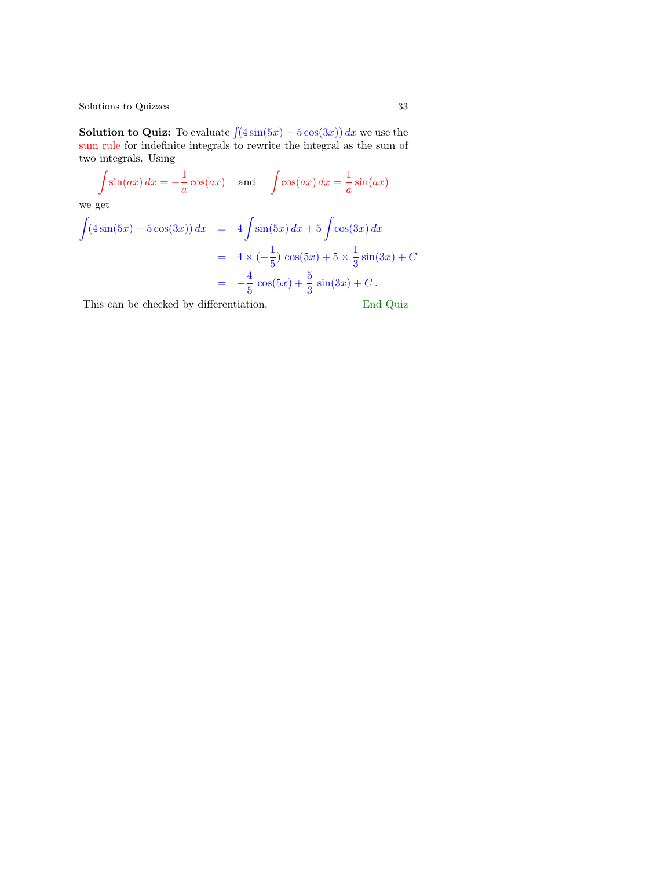**Solution to Quiz:** To evaluate  $\int (4\sin(5x) + 5\cos(3x)) dx$  we use the sum rule for indefinite integrals to rewrite the integral as the sum of two integrals. Using

$$
\int \sin(ax) dx = -\frac{1}{a}\cos(ax) \text{ and } \int \cos(ax) dx = \frac{1}{a}\sin(ax)
$$

we get

$$
\int (4\sin(5x) + 5\cos(3x)) dx = 4\int \sin(5x) dx + 5\int \cos(3x) dx
$$
  
=  $4 \times (-\frac{1}{5})\cos(5x) + 5 \times \frac{1}{3}\sin(3x) + C$   
=  $-\frac{4}{5}\cos(5x) + \frac{5}{3}\sin(3x) + C$ .

This can be checked by differentiation. End Quiz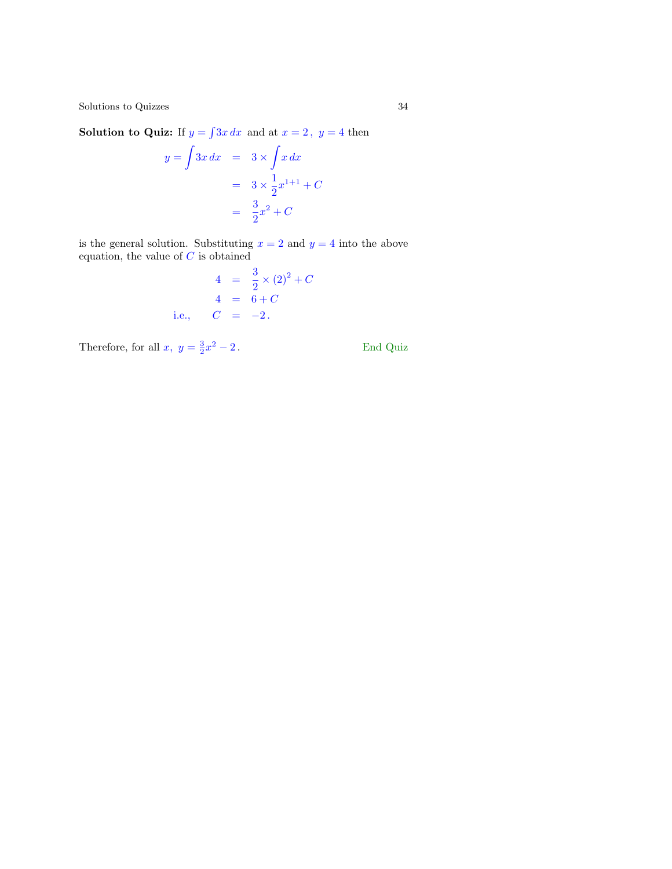**Solution to Quiz:** If  $y = \int 3x \, dx$  and at  $x = 2$ ,  $y = 4$  then

$$
y = \int 3x \, dx = 3 \times \int x \, dx
$$

$$
= 3 \times \frac{1}{2} x^{1+1} + C
$$

$$
= \frac{3}{2} x^2 + C
$$

is the general solution. Substituting  $x = 2$  and  $y = 4$  $y = 4$  into the above equation, the value of  $C$  is obtained

$$
4 = \frac{3}{2} \times (2)^2 +
$$
  
\n
$$
4 = 6 + C
$$
  
\ni.e., 
$$
C = -2.
$$

 $\overline{C}$ 

Therefore, for all  $x, y = \frac{3}{2}x$ 

 $\operatorname{End}$  Quiz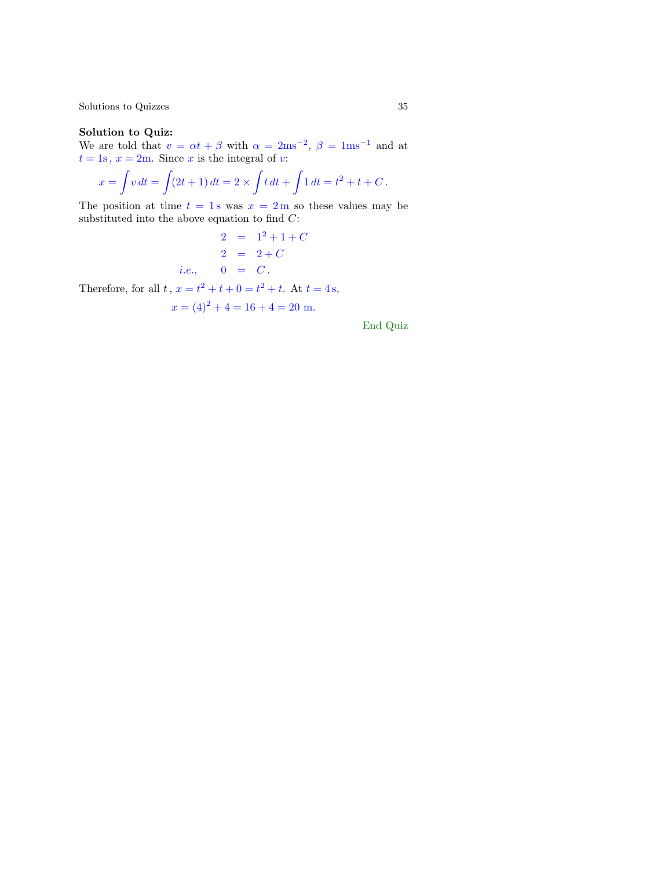#### Solution to Quiz:

We are told that  $v = \alpha t + \beta$  with  $\alpha = 2 \text{ms}^{-2}$ ,  $\beta = 1 \text{ms}^{-1}$  and at  $t = 1$ s,  $x = 2$ m. Since x is the integral of v:

$$
x = \int v \, dt = \int (2t+1) \, dt = 2 \times \int t \, dt + \int 1 \, dt = t^2 + t + C \, .
$$

The position at time  $t = 1$  s was  $x = 2$  m so these values may be substituted into the above equation to find  $C$ :

> $2 = 1^2 + 1 + C$  $2 = 1^2 + 1 + C$  $2 = 2 + C$ *i.e.*,  $0 = C$ .

Therefore, for all  $t, x = t^2 + t + 0 = t^2 + t$ . At  $t = 4s$ ,

$$
x = (4)^2 + 4 = 16 + 4 = 20
$$
 m.

End Quiz